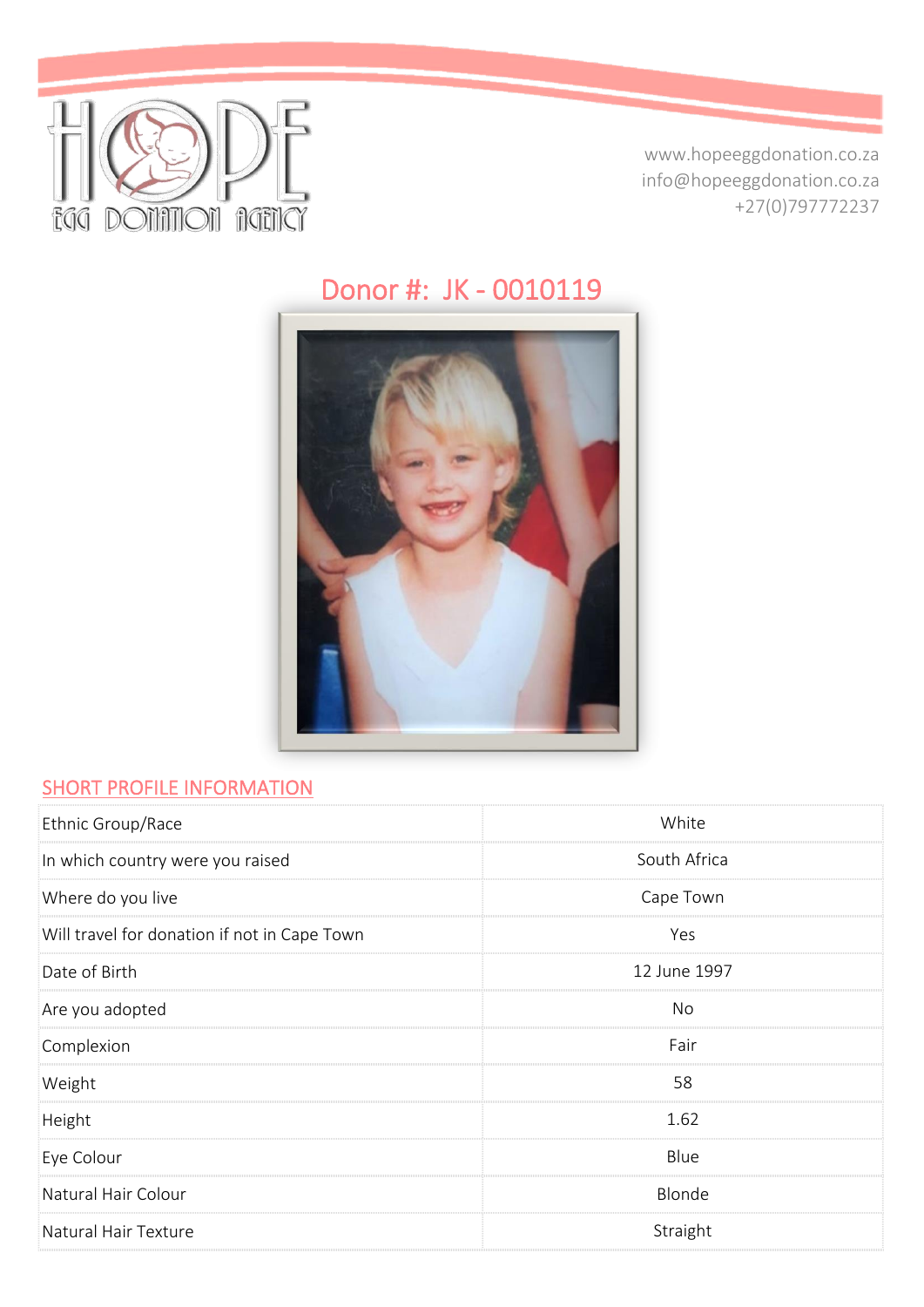

www.hopeeggdonation.co.za info@hopeeggdonation.co.za +27(0)797772237

# Donor #: JK - 0010119



#### **SHORT PROFILE INFORMATION**

| Ethnic Group/Race                            | White        |
|----------------------------------------------|--------------|
| In which country were you raised             | South Africa |
| Where do you live                            | Cape Town    |
| Will travel for donation if not in Cape Town | Yes          |
| Date of Birth                                | 12 June 1997 |
| Are you adopted                              | No           |
| Complexion                                   | Fair         |
| Weight                                       | 58           |
| Height                                       | 1.62         |
| Eye Colour                                   | Blue         |
| Natural Hair Colour                          | Blonde       |
| Natural Hair Texture                         | Straight     |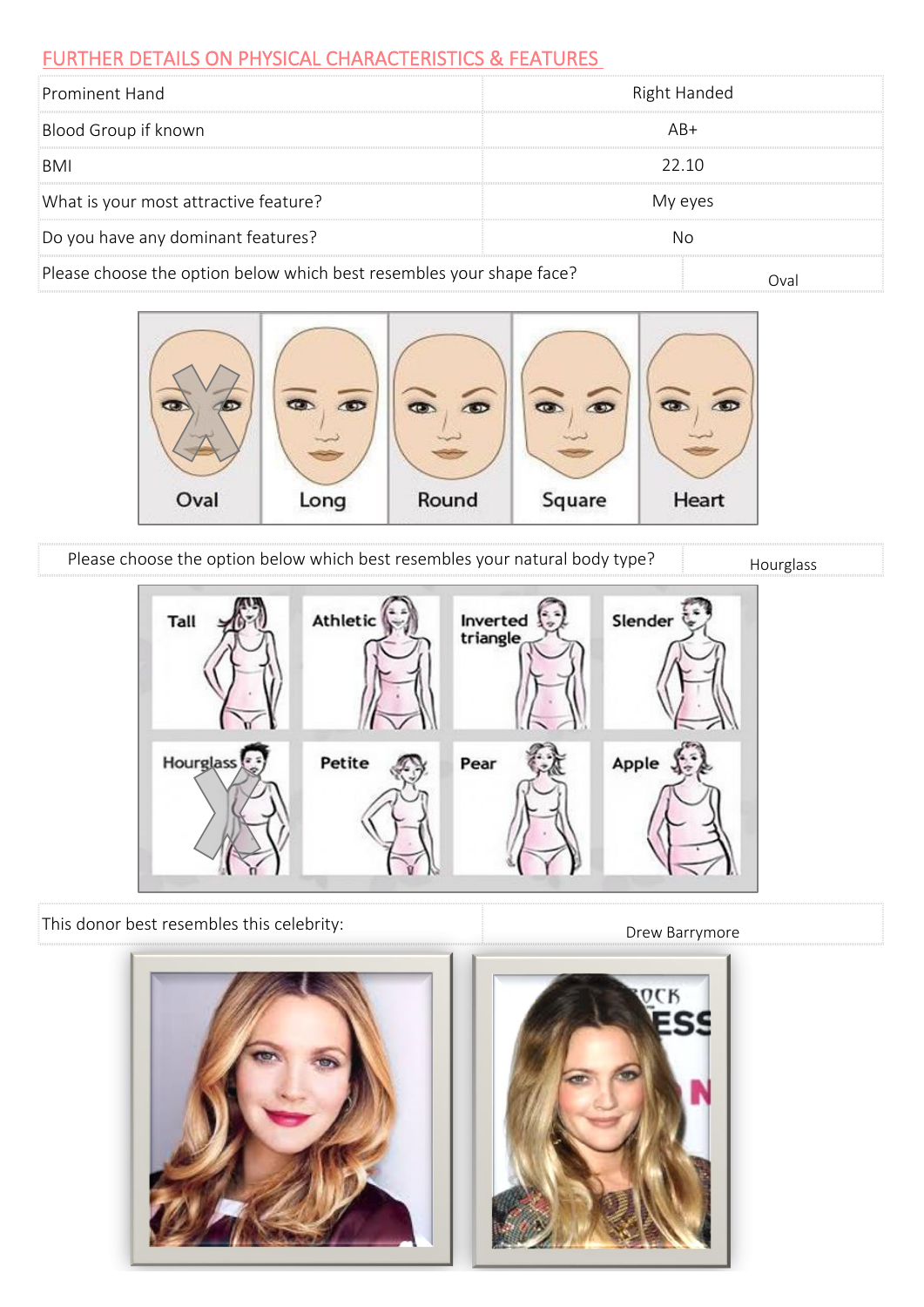#### FURTHER DETAILS ON PHYSICAL CHARACTERISTICS & FEATURES

| Prominent Hand                                                       | Right Handed |
|----------------------------------------------------------------------|--------------|
| Blood Group if known                                                 | $AR+$        |
| BMI                                                                  | 22 10        |
| What is your most attractive feature?                                | My eyes      |
| Do you have any dominant features?                                   | Nο           |
| Please choose the option below which best resembles your shape face? | Ova          |



Please choose the option below which best resembles your natural body type? Hourglass



This donor best resembles this celebrity:

Drew Barrymore

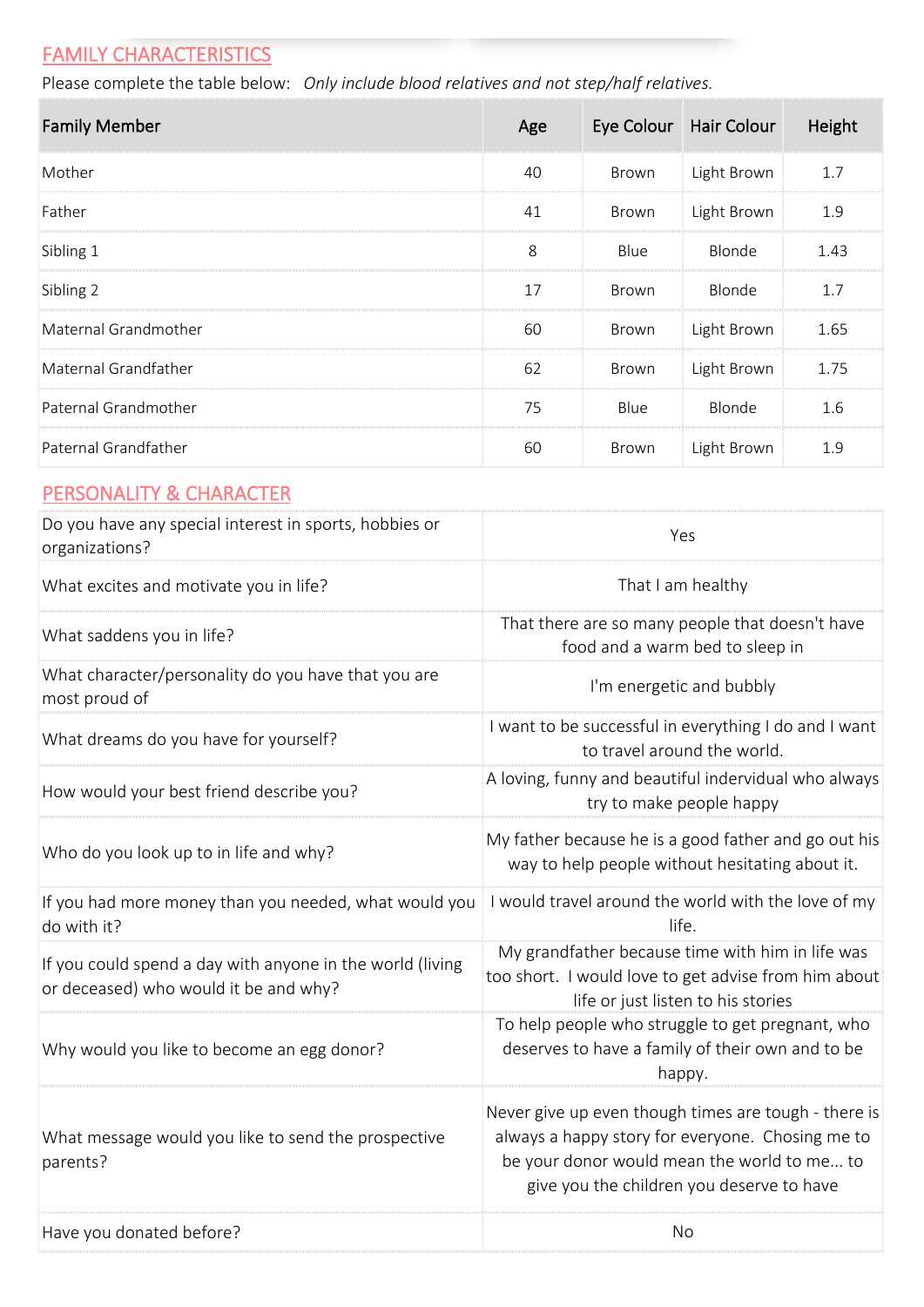# **FAMILY CHARACTERISTICS**

Please complete the table below: *Only include blood relatives and not step/half relatives.*

| <b>Family Member</b> | Age | Eye Colour | Hair Colour | Height |
|----------------------|-----|------------|-------------|--------|
| Mother               | 40  | Brown      | Light Brown | 1.7    |
| Father               | 41  | Brown      | Light Brown | 1.9    |
| Sibling 1            | 8   | Blue       | Blonde      | 1.43   |
| Sibling 2            | 17  | Brown      | Blonde      | 1.7    |
| Maternal Grandmother | 60  | Brown      | Light Brown | 1.65   |
| Maternal Grandfather | 62  | Brown      | Light Brown | 1.75   |
| Paternal Grandmother | 75  | Blue       | Blonde      | 1.6    |
| Paternal Grandfather | 60  | Brown      | Light Brown | 1.9    |

#### PERSONALITY & CHARACTER

| Do you have any special interest in sports, hobbies or<br>organizations?                           | Yes                                                                                                                                                                                                  |
|----------------------------------------------------------------------------------------------------|------------------------------------------------------------------------------------------------------------------------------------------------------------------------------------------------------|
| What excites and motivate you in life?                                                             | That I am healthy                                                                                                                                                                                    |
| What saddens you in life?                                                                          | That there are so many people that doesn't have<br>food and a warm bed to sleep in                                                                                                                   |
| What character/personality do you have that you are<br>most proud of                               | I'm energetic and bubbly                                                                                                                                                                             |
| What dreams do you have for yourself?                                                              | I want to be successful in everything I do and I want<br>to travel around the world.                                                                                                                 |
| How would your best friend describe you?                                                           | A loving, funny and beautiful indervidual who always<br>try to make people happy                                                                                                                     |
| Who do you look up to in life and why?                                                             | My father because he is a good father and go out his<br>way to help people without hesitating about it.                                                                                              |
| If you had more money than you needed, what would you<br>do with it?                               | I would travel around the world with the love of my<br>life.                                                                                                                                         |
| If you could spend a day with anyone in the world (living<br>or deceased) who would it be and why? | My grandfather because time with him in life was<br>too short. I would love to get advise from him about<br>life or just listen to his stories                                                       |
| Why would you like to become an egg donor?                                                         | To help people who struggle to get pregnant, who<br>deserves to have a family of their own and to be<br>happy.                                                                                       |
| What message would you like to send the prospective<br>parents?                                    | Never give up even though times are tough - there is<br>always a happy story for everyone. Chosing me to<br>be your donor would mean the world to me to<br>give you the children you deserve to have |
| Have you donated before?                                                                           | No                                                                                                                                                                                                   |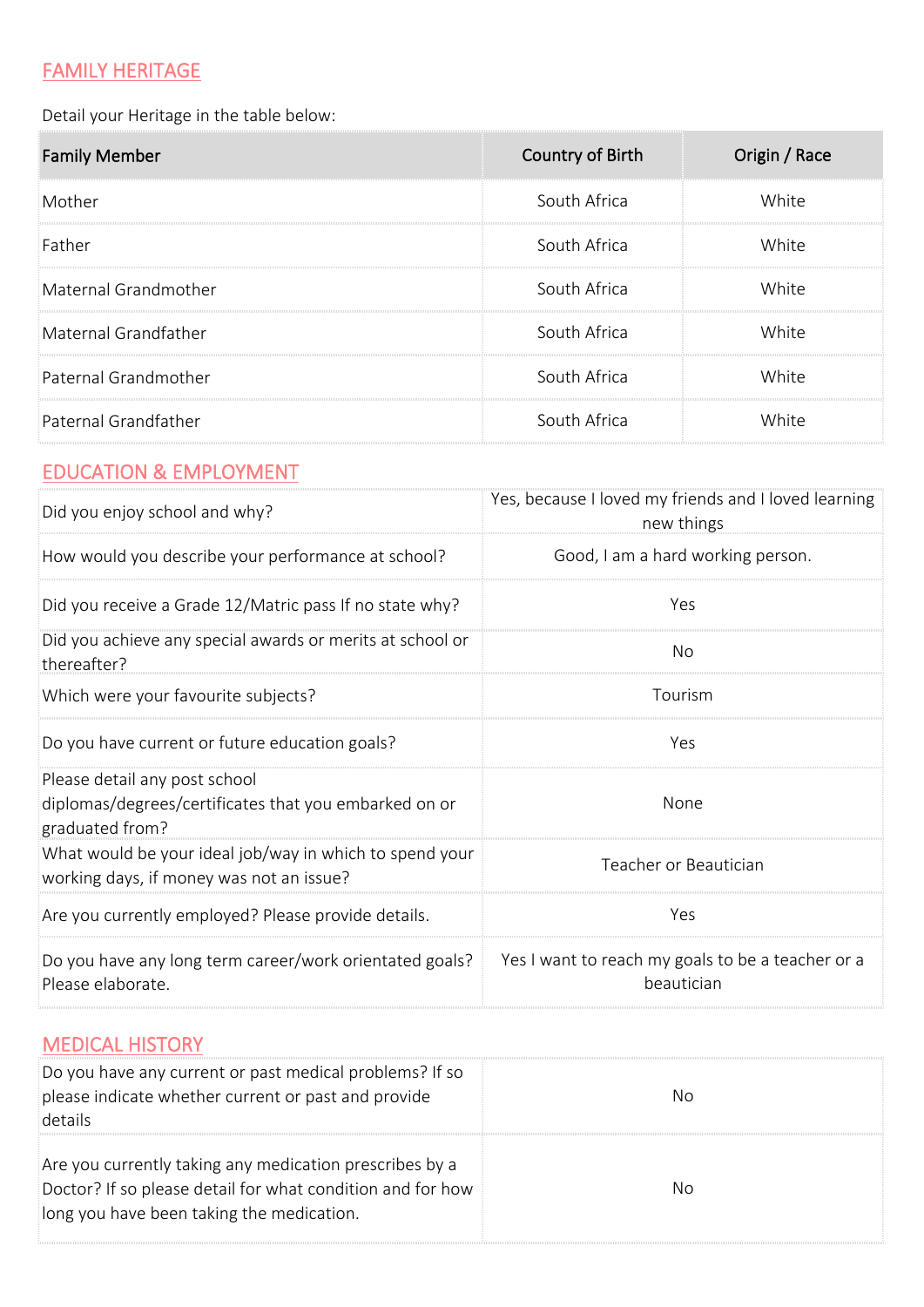# FAMILY HERITAGE

Detail your Heritage in the table below:

| <b>Family Member</b> | Country of Birth | Origin / Race |
|----------------------|------------------|---------------|
| Mother               | South Africa     | White         |
| Father               | South Africa     | White         |
| Maternal Grandmother | South Africa     | White         |
| Maternal Grandfather | South Africa     | White         |
| Paternal Grandmother | South Africa     | White         |
| Paternal Grandfather | South Africa     | White         |

# EDUCATION & EMPLOYMENT

| Did you enjoy school and why?                                                                             | Yes, because I loved my friends and I loved learning<br>new things |  |  |
|-----------------------------------------------------------------------------------------------------------|--------------------------------------------------------------------|--|--|
| How would you describe your performance at school?                                                        | Good, I am a hard working person.                                  |  |  |
| Did you receive a Grade 12/Matric pass If no state why?                                                   | Yes                                                                |  |  |
| Did you achieve any special awards or merits at school or<br>thereafter?                                  | <b>No</b>                                                          |  |  |
| Which were your favourite subjects?                                                                       | Tourism                                                            |  |  |
| Do you have current or future education goals?                                                            | Yes                                                                |  |  |
| Please detail any post school<br>diplomas/degrees/certificates that you embarked on or<br>graduated from? | <b>None</b>                                                        |  |  |
| What would be your ideal job/way in which to spend your<br>working days, if money was not an issue?       | Teacher or Beautician                                              |  |  |
| Are you currently employed? Please provide details.                                                       | Yes                                                                |  |  |
| Do you have any long term career/work orientated goals?<br>Please elaborate.                              | Yes I want to reach my goals to be a teacher or a<br>beautician    |  |  |

### MEDICAL HISTORY

| Do you have any current or past medical problems? If so<br>please indicate whether current or past and provide<br>details                                          | No |
|--------------------------------------------------------------------------------------------------------------------------------------------------------------------|----|
| Are you currently taking any medication prescribes by a<br>Doctor? If so please detail for what condition and for how<br>long you have been taking the medication. | No |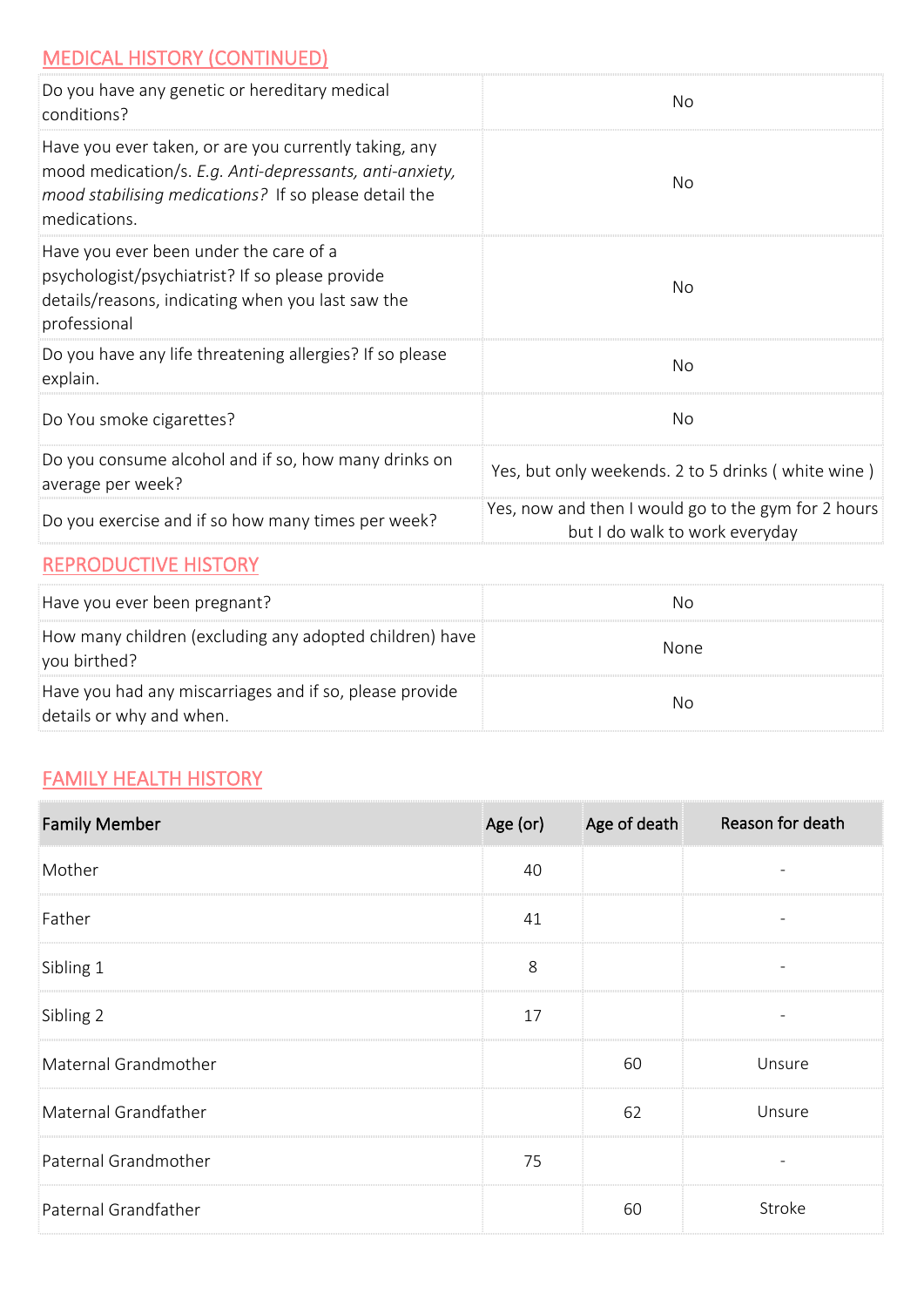### MEDICAL HISTORY (CONTINUED)

| Do you have any genetic or hereditary medical<br>conditions?                                                                                                                              | Nο                                                                                    |
|-------------------------------------------------------------------------------------------------------------------------------------------------------------------------------------------|---------------------------------------------------------------------------------------|
| Have you ever taken, or are you currently taking, any<br>mood medication/s. E.g. Anti-depressants, anti-anxiety,<br>mood stabilising medications? If so please detail the<br>medications. | No                                                                                    |
| Have you ever been under the care of a<br>psychologist/psychiatrist? If so please provide<br>details/reasons, indicating when you last saw the<br>professional                            | Nο                                                                                    |
| Do you have any life threatening allergies? If so please<br>explain.                                                                                                                      | <b>No</b>                                                                             |
| Do You smoke cigarettes?                                                                                                                                                                  | No                                                                                    |
| Do you consume alcohol and if so, how many drinks on<br>average per week?                                                                                                                 | Yes, but only weekends. 2 to 5 drinks (white wine)                                    |
| Do you exercise and if so how many times per week?                                                                                                                                        | Yes, now and then I would go to the gym for 2 hours<br>but I do walk to work everyday |

#### REPRODUCTIVE HISTORY

| Have you ever been pregnant?                                                        | No          |
|-------------------------------------------------------------------------------------|-------------|
| How many children (excluding any adopted children) have<br>you birthed?             | <b>None</b> |
| Have you had any miscarriages and if so, please provide<br>details or why and when. | No          |

### **FAMILY HEALTH HISTORY**

| <b>Family Member</b> | Age (or) | Age of death | Reason for death         |
|----------------------|----------|--------------|--------------------------|
| Mother               | 40       |              |                          |
| Father               | 41       |              | $\qquad \qquad -$        |
| Sibling 1            | 8        |              | $\overline{\phantom{a}}$ |
| Sibling 2            | 17       |              | $\overline{\phantom{a}}$ |
| Maternal Grandmother |          | 60           | Unsure                   |
| Maternal Grandfather |          | 62           | Unsure                   |
| Paternal Grandmother | 75       |              |                          |
| Paternal Grandfather |          | 60           | Stroke                   |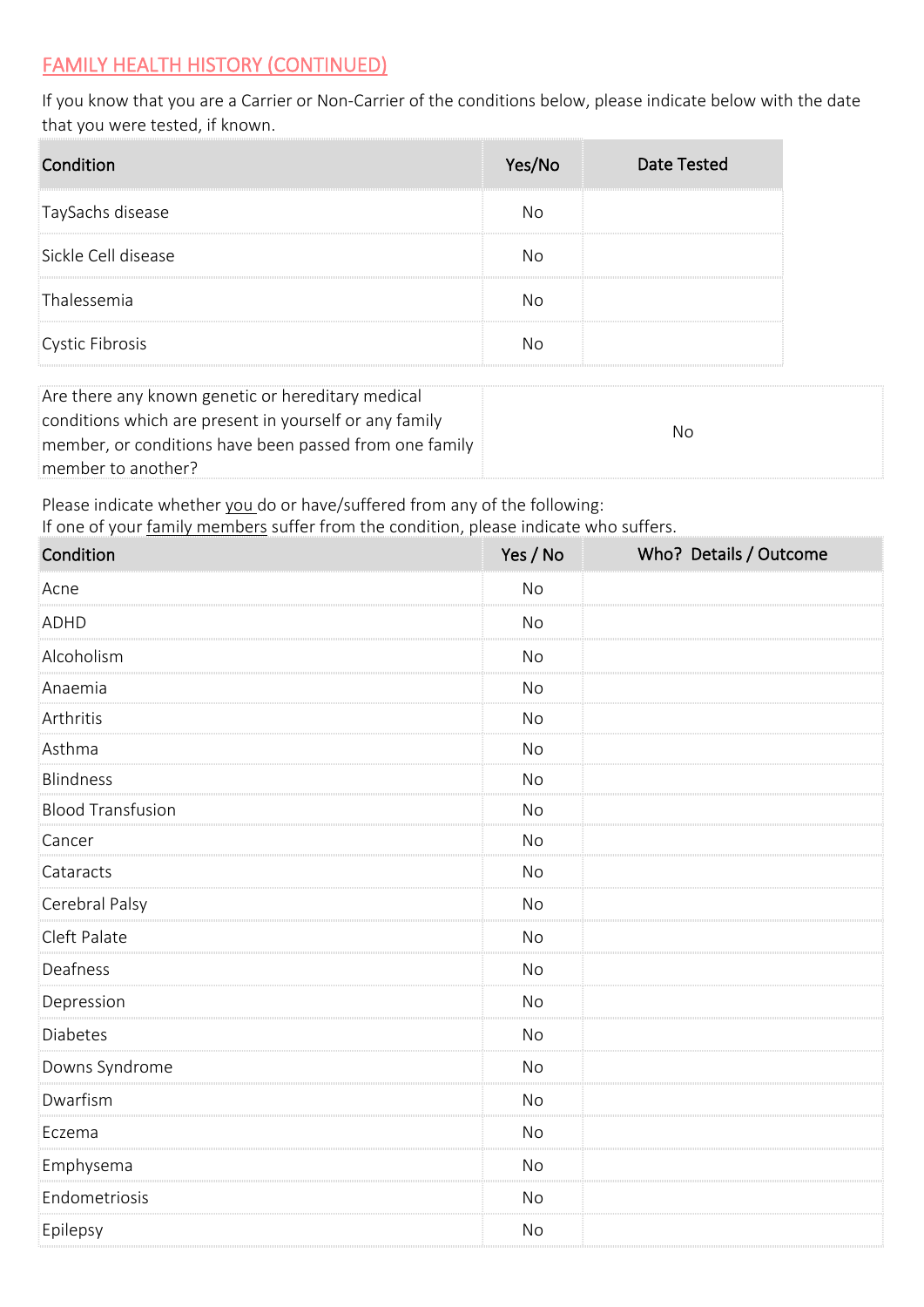#### FAMILY HEALTH HISTORY (CONTINUED)

If you know that you are a Carrier or Non-Carrier of the conditions below, please indicate below with the date that you were tested, if known.

| Condition           | Yes/No | <b>Date Tested</b> |
|---------------------|--------|--------------------|
| TaySachs disease    | No     |                    |
| Sickle Cell disease | Nο     |                    |
| Thalessemia         | Nο     |                    |
| Cystic Fibrosis     | No     |                    |

| Are there any known genetic or hereditary medical      |     |
|--------------------------------------------------------|-----|
| conditions which are present in yourself or any family |     |
| member, or conditions have been passed from one family | No. |
| member to another?                                     |     |

Please indicate whether you do or have/suffered from any of the following:

If one of your family members suffer from the condition, please indicate who suffers.

| Condition                | Yes / No  | Who? Details / Outcome |
|--------------------------|-----------|------------------------|
| Acne                     | No        |                        |
| <b>ADHD</b>              | No        |                        |
| Alcoholism               | <b>No</b> |                        |
| Anaemia                  | <b>No</b> |                        |
| Arthritis                | <b>No</b> |                        |
| Asthma                   | <b>No</b> |                        |
| <b>Blindness</b>         | No        |                        |
| <b>Blood Transfusion</b> | No        |                        |
| Cancer                   | <b>No</b> |                        |
| Cataracts                | No        |                        |
| Cerebral Palsy           | No        |                        |
| Cleft Palate             | <b>No</b> |                        |
| Deafness                 | <b>No</b> |                        |
| Depression               | No        |                        |
| Diabetes                 | No        |                        |
| Downs Syndrome           | <b>No</b> |                        |
| Dwarfism                 | <b>No</b> |                        |
| Eczema                   | No        |                        |
| Emphysema                | <b>No</b> |                        |
| Endometriosis            | <b>No</b> |                        |
| Epilepsy                 | No        |                        |